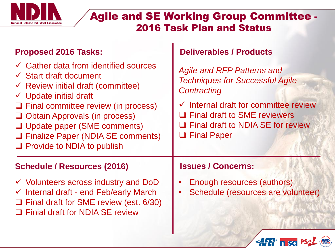

## Agile and SE Working Group Committee - 2016 Task Plan and Status

## Proposed 2016 Tasks: **Deliverables / Products**

| $\checkmark$ Gather data from identified sources<br>$\checkmark$ Start draft document<br>$\checkmark$ Review initial draft (committee)<br>$\checkmark$ Update initial draft<br>$\Box$ Final committee review (in process)<br>$\Box$ Obtain Approvals (in process)<br>□ Update paper (SME comments)<br><b>Q</b> Finalize Paper (NDIA SE comments)<br>$\Box$ Provide to NDIA to publish | <b>Agile and RFP Patterns and</b><br><b>Techniques for Successful Agile</b><br>Contracting<br>$\checkmark$ Internal draft for committee review<br>$\Box$ Final draft to SME reviewers<br><b>Q</b> Final draft to NDIA SE for review<br><b>Q</b> Final Paper |
|---------------------------------------------------------------------------------------------------------------------------------------------------------------------------------------------------------------------------------------------------------------------------------------------------------------------------------------------------------------------------------------|-------------------------------------------------------------------------------------------------------------------------------------------------------------------------------------------------------------------------------------------------------------|
| <b>Schedule / Resources (2016)</b>                                                                                                                                                                                                                                                                                                                                                    | <b>Issues / Concerns:</b>                                                                                                                                                                                                                                   |
| $\checkmark$ Volunteers across industry and DoD<br>$\checkmark$ Internal draft - end Feb/early March                                                                                                                                                                                                                                                                                  | Enough resources (authors)<br>Schedule (resources are volunteer)                                                                                                                                                                                            |